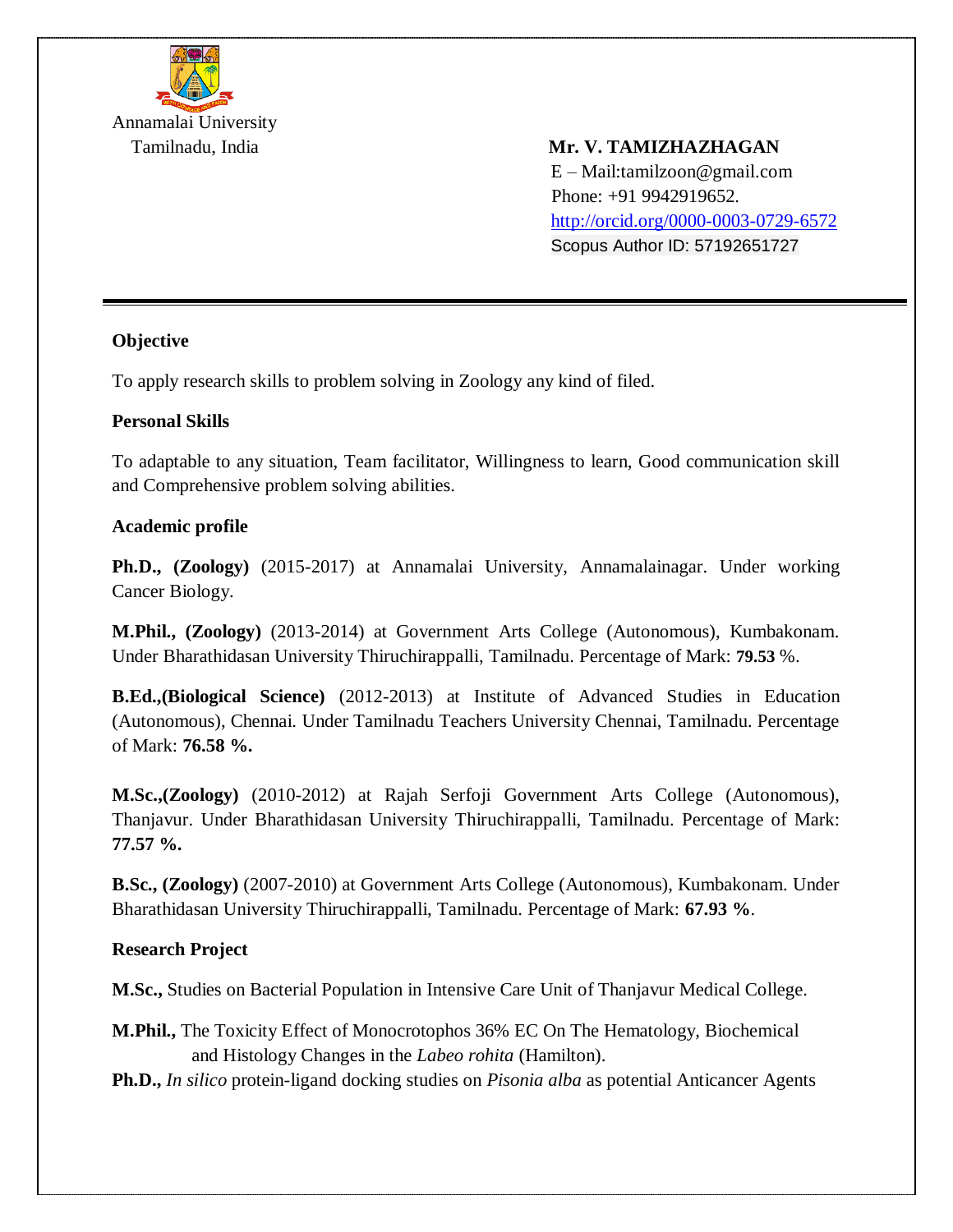

E – Mail:tamilzoon@gmail.com Phone: +91 9942919652. <http://orcid.org/0000-0003-0729-6572> Scopus Author ID: 57192651727

# **Objective**

To apply research skills to problem solving in Zoology any kind of filed.

# **Personal Skills**

To adaptable to any situation, Team facilitator, Willingness to learn, Good communication skill and Comprehensive problem solving abilities.

## **Academic profile**

**Ph.D., (Zoology)** (2015-2017) at Annamalai University, Annamalainagar. Under working Cancer Biology.

**M.Phil., (Zoology)** (2013-2014) at Government Arts College (Autonomous), Kumbakonam. Under Bharathidasan University Thiruchirappalli, Tamilnadu. Percentage of Mark: **79.53** %.

**B.Ed.,(Biological Science)** (2012-2013) at Institute of Advanced Studies in Education (Autonomous), Chennai. Under Tamilnadu Teachers University Chennai, Tamilnadu. Percentage of Mark: **76.58 %.**

**M.Sc.,(Zoology)** (2010-2012) at Rajah Serfoji Government Arts College (Autonomous), Thanjavur. Under Bharathidasan University Thiruchirappalli, Tamilnadu. Percentage of Mark: **77.57 %.**

**B.Sc., (Zoology)** (2007-2010) at Government Arts College (Autonomous), Kumbakonam. Under Bharathidasan University Thiruchirappalli, Tamilnadu. Percentage of Mark: **67.93 %**.

# **Research Project**

**M.Sc.,** Studies on Bacterial Population in Intensive Care Unit of Thanjavur Medical College.

**M.Phil.,** The Toxicity Effect of Monocrotophos 36% EC On The Hematology, Biochemical and Histology Changes in the *Labeo rohita* (Hamilton).

**Ph.D.,** *In silico* protein-ligand docking studies on *Pisonia alba* as potential Anticancer Agents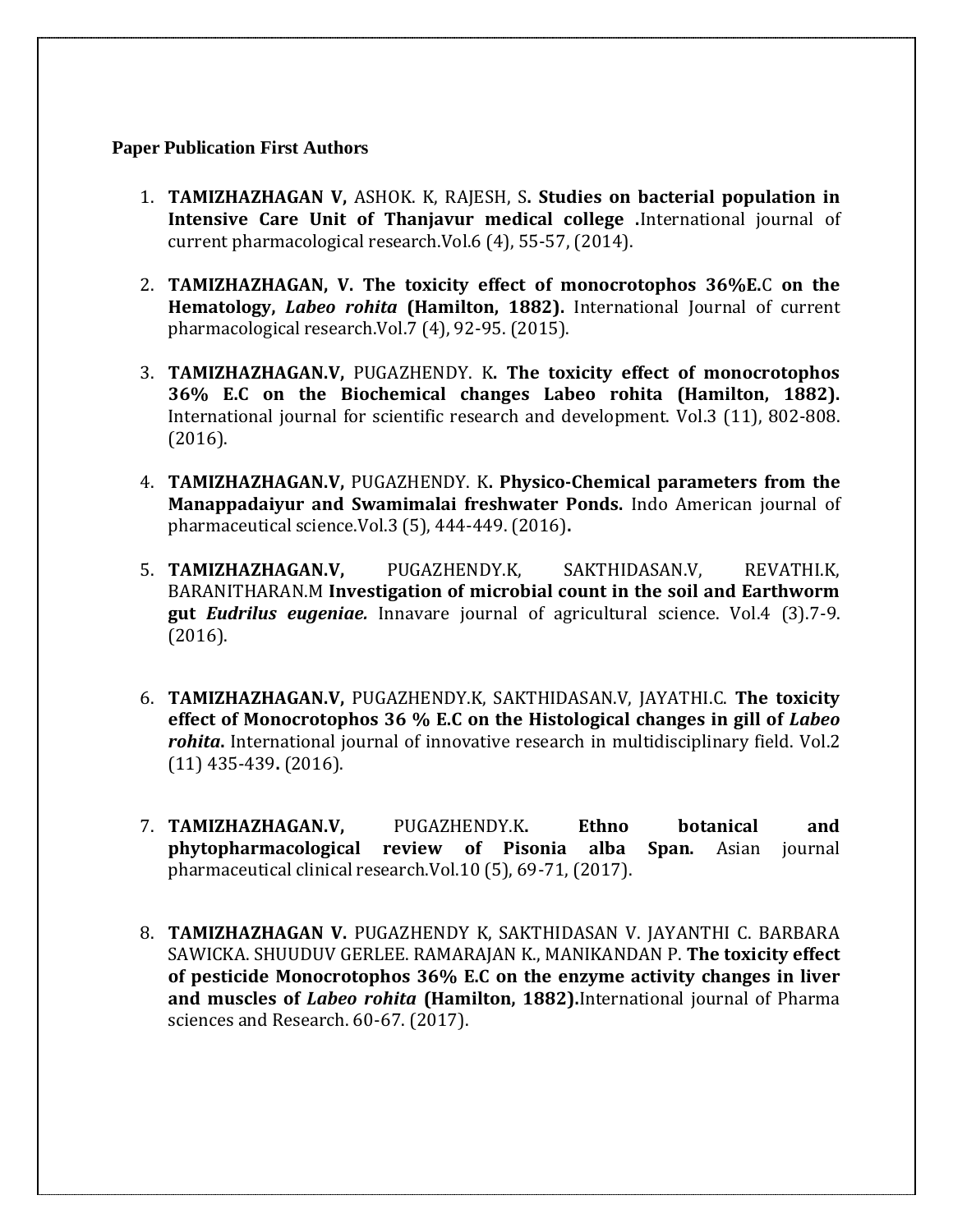## **Paper Publication First Authors**

- 1. **TAMIZHAZHAGAN V,** ASHOK. K, RAJESH, S**. Studies on bacterial population in Intensive Care Unit of Thanjavur medical college .**International journal of current pharmacological research.Vol.6 (4), 55-57, (2014).
- 2. **TAMIZHAZHAGAN, V. The toxicity effect of monocrotophos 36%E.**C **on the Hematology,** *Labeo rohita* **(Hamilton, 1882).** International Journal of current pharmacological research.Vol.7 (4), 92-95. (2015).
- 3. **TAMIZHAZHAGAN.V,** PUGAZHENDY. K**. The toxicity effect of monocrotophos 36% E.C on the Biochemical changes Labeo rohita (Hamilton, 1882).**  International journal for scientific research and development. Vol.3 (11), 802-808. (2016).
- 4. **TAMIZHAZHAGAN.V,** PUGAZHENDY. K**. Physico-Chemical parameters from the Manappadaiyur and Swamimalai freshwater Ponds.** Indo American journal of pharmaceutical science.Vol.3 (5), 444-449. (2016)**.**
- 5. **TAMIZHAZHAGAN.V,** PUGAZHENDY.K, SAKTHIDASAN.V, REVATHI.K, BARANITHARAN.M **Investigation of microbial count in the soil and Earthworm gut** *Eudrilus eugeniae.* Innavare journal of agricultural science. Vol.4 (3).7-9. (2016).
- 6. **TAMIZHAZHAGAN.V,** PUGAZHENDY.K, SAKTHIDASAN.V, JAYATHI.C. **The toxicity effect of Monocrotophos 36 % E.C on the Histological changes in gill of** *Labeo rohita***.** International journal of innovative research in multidisciplinary field. Vol.2 (11) 435-439**.** (2016).
- 7. **TAMIZHAZHAGAN.V,** PUGAZHENDY.K**. Ethno botanical and phytopharmacological review of Pisonia alba Span.** Asian journal pharmaceutical clinical research.Vol.10 (5), 69-71, (2017).
- 8. **TAMIZHAZHAGAN V.** PUGAZHENDY K, SAKTHIDASAN V. JAYANTHI C. BARBARA SAWICKA. SHUUDUV GERLEE. RAMARAJAN K., MANIKANDAN P. **The toxicity effect of pesticide Monocrotophos 36% E.C on the enzyme activity changes in liver and muscles of** *Labeo rohita* **(Hamilton, 1882).**International journal of Pharma sciences and Research. 60-67. (2017).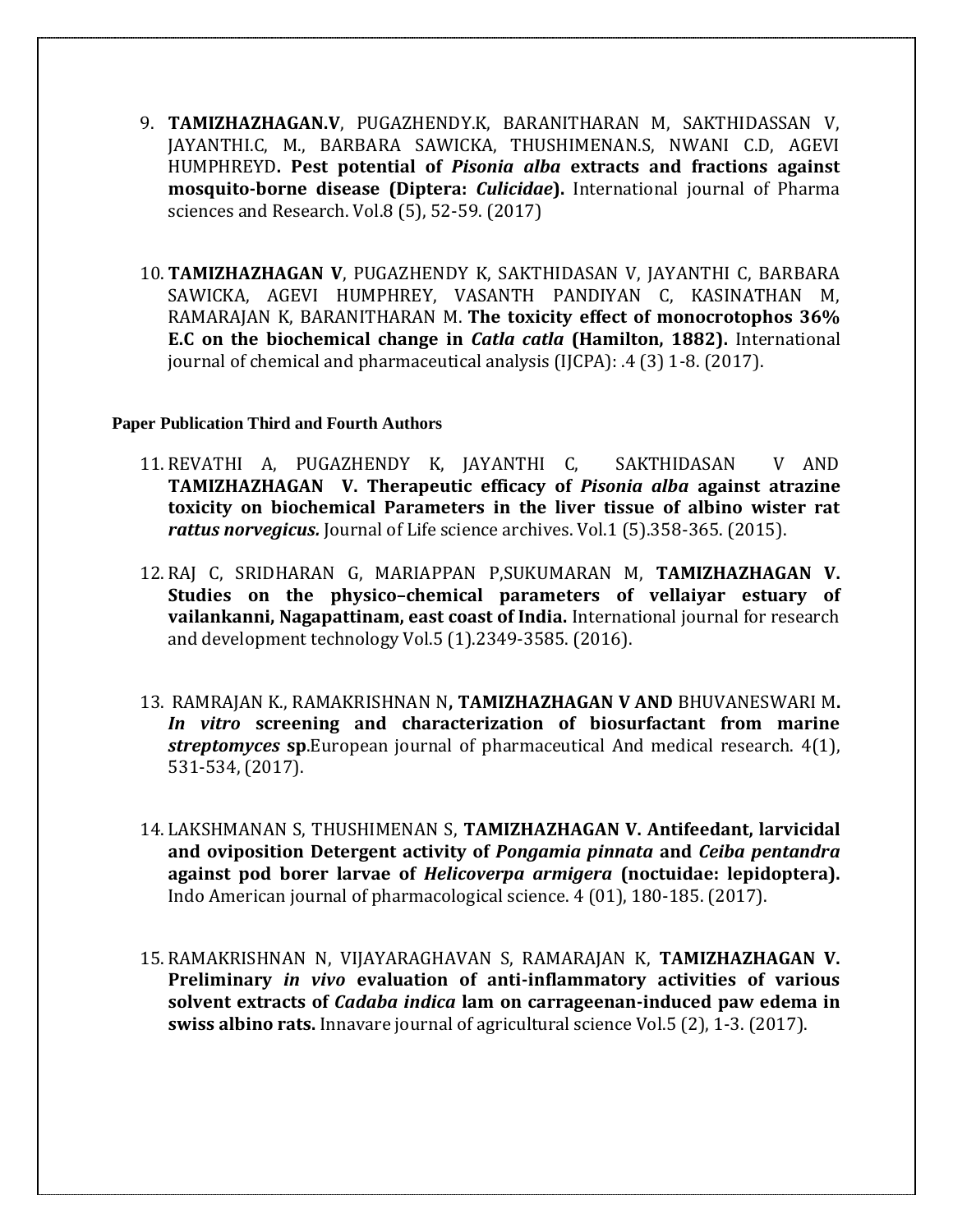- 9. **TAMIZHAZHAGAN.V**, PUGAZHENDY.K, BARANITHARAN M, SAKTHIDASSAN V, JAYANTHI.C, M., BARBARA SAWICKA, THUSHIMENAN.S, NWANI C.D, AGEVI HUMPHREYD**. Pest potential of** *Pisonia alba* **extracts and fractions against mosquito-borne disease (Diptera:** *Culicidae***).** International journal of Pharma sciences and Research. Vol.8 (5), 52-59. (2017)
- 10. **TAMIZHAZHAGAN V**, PUGAZHENDY K, SAKTHIDASAN V, JAYANTHI C, BARBARA SAWICKA, AGEVI HUMPHREY, VASANTH PANDIYAN C, KASINATHAN M, RAMARAJAN K, BARANITHARAN M. **The toxicity effect of monocrotophos 36% E.C on the biochemical change in** *Catla catla* **(Hamilton, 1882).** International journal of chemical and pharmaceutical analysis (IJCPA): .4 (3) 1-8. (2017).

#### **Paper Publication Third and Fourth Authors**

- 11. REVATHI A, PUGAZHENDY K, JAYANTHI C, SAKTHIDASAN V AND **TAMIZHAZHAGAN V. Therapeutic efficacy of** *Pisonia alba* **against atrazine toxicity on biochemical Parameters in the liver tissue of albino wister rat**  *rattus norvegicus.* Journal of Life science archives. Vol.1 (5).358-365. (2015).
- 12. RAJ C, SRIDHARAN G, MARIAPPAN P,SUKUMARAN M, **TAMIZHAZHAGAN V. Studies on the physico–chemical parameters of vellaiyar estuary of vailankanni, Nagapattinam, east coast of India.** International journal for research and development technology Vol.5 (1).2349-3585. (2016).
- 13. RAMRAJAN K., RAMAKRISHNAN N**, TAMIZHAZHAGAN V AND** BHUVANESWARI M**.**  *In vitro* **screening and characterization of biosurfactant from marine**  *streptomyces* **sp**.European journal of pharmaceutical And medical research. 4(1), 531-534, (2017).
- 14. LAKSHMANAN S, THUSHIMENAN S, **TAMIZHAZHAGAN V. Antifeedant, larvicidal and oviposition Detergent activity of** *Pongamia pinnata* **and** *Ceiba pentandra*  **against pod borer larvae of** *Helicoverpa armigera* **(noctuidae: lepidoptera).** Indo American journal of pharmacological science. 4 (01), 180-185. (2017).
- 15. RAMAKRISHNAN N, VIJAYARAGHAVAN S, RAMARAJAN K, **TAMIZHAZHAGAN V. Preliminary** *in vivo* **evaluation of anti-inflammatory activities of various solvent extracts of** *Cadaba indica* **lam on carrageenan-induced paw edema in swiss albino rats.** Innavare journal of agricultural science Vol.5 (2), 1-3. (2017).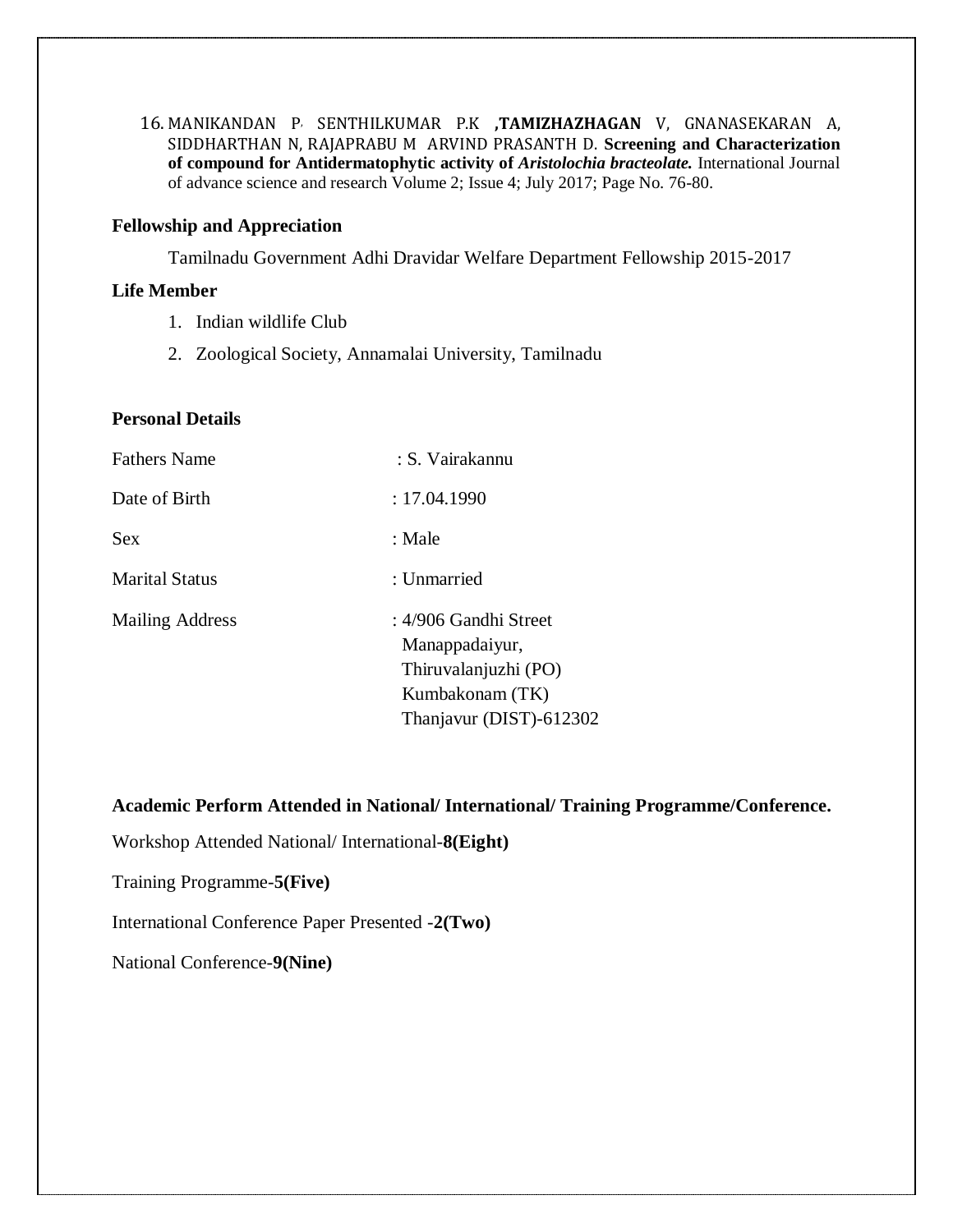16. MANIKANDAN P, SENTHILKUMAR P.K **,TAMIZHAZHAGAN** V, GNANASEKARAN A, SIDDHARTHAN N, RAJAPRABU M ARVIND PRASANTH D. **Screening and Characterization of compound for Antidermatophytic activity of** *Aristolochia bracteolate.* International Journal of advance science and research Volume 2; Issue 4; July 2017; Page No. 76-80.

#### **Fellowship and Appreciation**

Tamilnadu Government Adhi Dravidar Welfare Department Fellowship 2015-2017

## **Life Member**

- 1. Indian wildlife Club
- 2. Zoological Society, Annamalai University, Tamilnadu

## **Personal Details**

| <b>Fathers Name</b>    | : S. Vairakannu                                                                                               |
|------------------------|---------------------------------------------------------------------------------------------------------------|
| Date of Birth          | : 17.04.1990                                                                                                  |
| <b>Sex</b>             | : Male                                                                                                        |
| <b>Marital Status</b>  | : Unmarried                                                                                                   |
| <b>Mailing Address</b> | : 4/906 Gandhi Street<br>Manappadaiyur,<br>Thiruvalanjuzhi (PO)<br>Kumbakonam (TK)<br>Thanjavur (DIST)-612302 |

**Academic Perform Attended in National/ International/ Training Programme/Conference.**

Workshop Attended National/ International-**8(Eight)** 

Training Programme-**5(Five)**

International Conference Paper Presented -**2(Two)**

National Conference-**9(Nine)**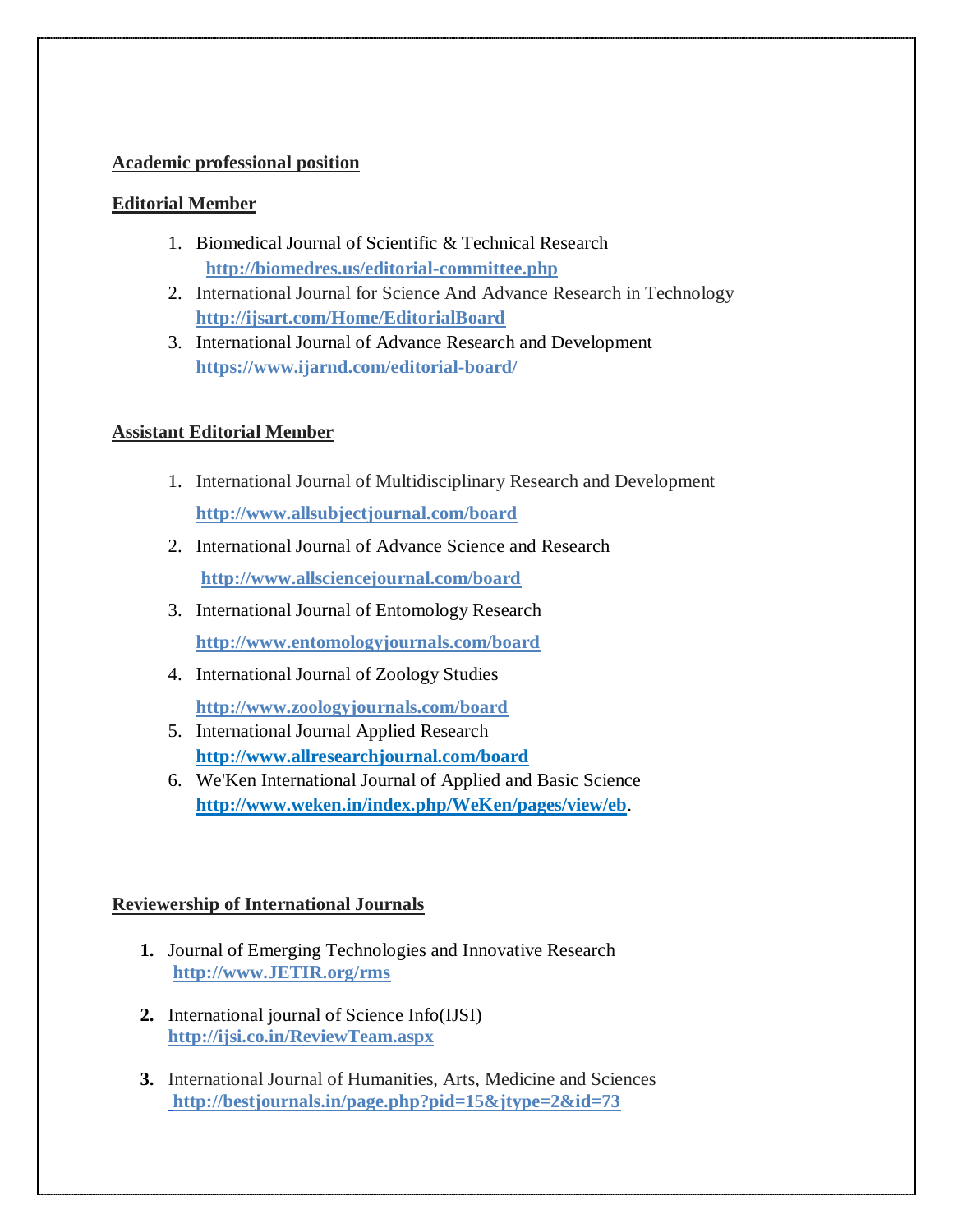## **Academic professional position**

## **Editorial Member**

- 1. Biomedical Journal of Scientific & Technical Research **<http://biomedres.us/editorial-committee.php>**
- 2. International Journal for Science And Advance Research in Technology **<http://ijsart.com/Home/EditorialBoard>**
- 3. International Journal of Advance Research and Development **https://www.ijarnd.com/editorial-board/**

# **Assistant Editorial Member**

- 1. International Journal of Multidisciplinary Research and Development **<http://www.allsubjectjournal.com/board>**
- 2. International Journal of Advance Science and Research **<http://www.allsciencejournal.com/board>**
- 3. International Journal of Entomology Research **<http://www.entomologyjournals.com/board>**
- 4. International Journal of Zoology Studies **<http://www.zoologyjournals.com/board>**
- 5. International Journal Applied Research **<http://www.allresearchjournal.com/board>**
- 6. We'Ken International Journal of Applied and Basic Science **<http://www.weken.in/index.php/WeKen/pages/view/eb>**.

# **Reviewership of International Journals**

- **1.** Journal of Emerging Technologies and Innovative Research **[http://www.JETIR.org/rms](http://www.jetir.org/rms)**
- **2.** International journal of Science Info(IJSI) **<http://ijsi.co.in/ReviewTeam.aspx>**
- **3.** International Journal of Humanities, Arts, Medicine and Sciences **<http://bestjournals.in/page.php?pid=15&jtype=2&id=73>**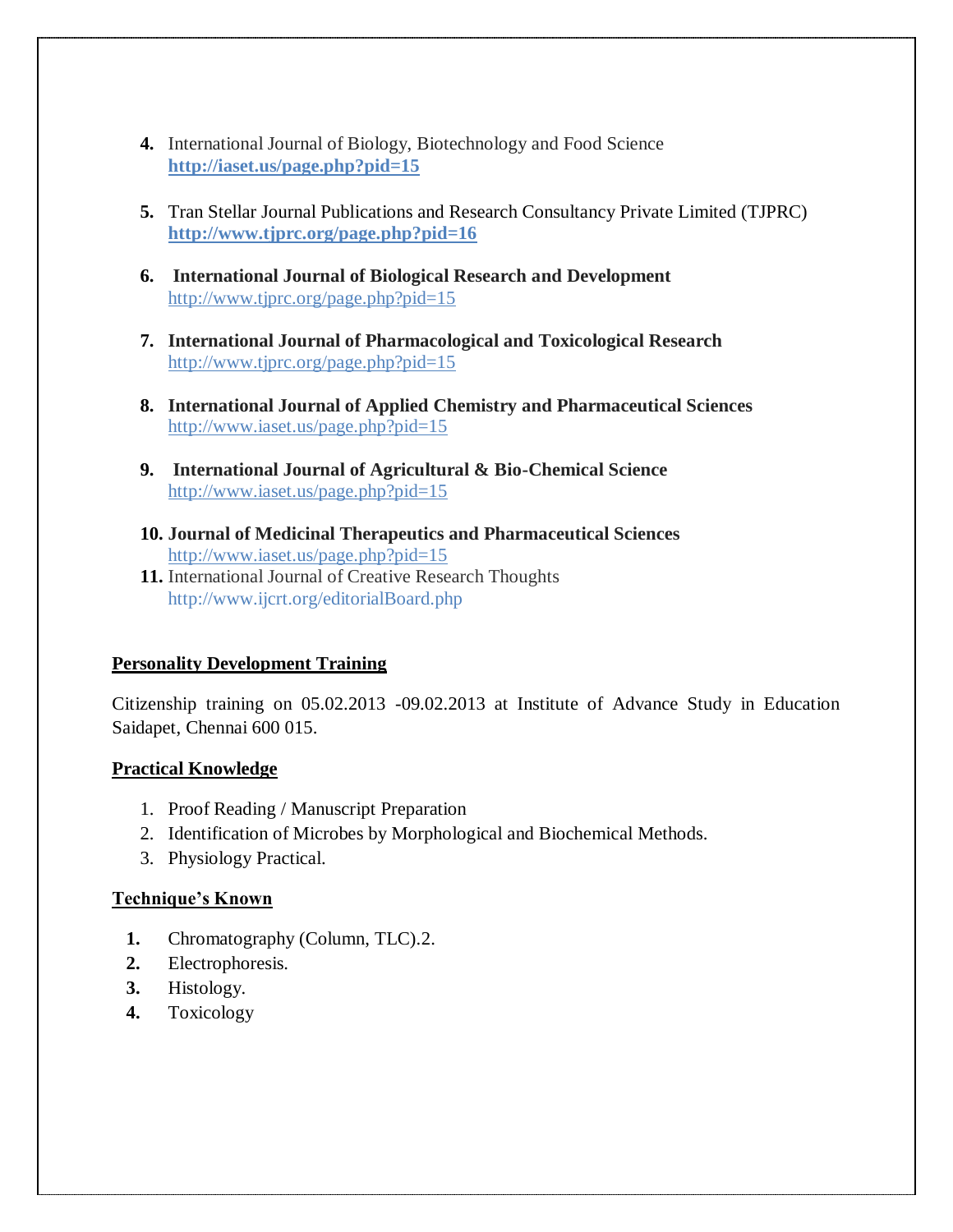- **4.** International Journal of Biology, Biotechnology and Food Science **[http://iaset.us/page.php?pid=15](http://www.iaset.us/page.php?pid=15)**
- **5.** Tran Stellar Journal Publications and Research Consultancy Private Limited (TJPRC) **<http://www.tjprc.org/page.php?pid=16>**
- **6. International Journal of Biological Research and Development** [http://www.tjprc.org/page.php?pid=15](http://tjprc.org/page.php?pid=15)
- **7. International Journal of Pharmacological and Toxicological Research** [http://www.tjprc.org/page.php?pid=15](http://tjprc.org/page.php?pid=15)
- **8. International Journal of Applied Chemistry and Pharmaceutical Sciences** <http://www.iaset.us/page.php?pid=15>
- **9. International Journal of Agricultural & Bio-Chemical Science** <http://www.iaset.us/page.php?pid=15>
- **10. Journal of Medicinal Therapeutics and Pharmaceutical Sciences** <http://www.iaset.us/page.php?pid=15>
- **11.** International Journal of Creative Research Thoughts http://www.ijcrt.org/editorialBoard.php

# **Personality Development Training**

Citizenship training on 05.02.2013 -09.02.2013 at Institute of Advance Study in Education Saidapet, Chennai 600 015.

## **Practical Knowledge**

- 1. Proof Reading / Manuscript Preparation
- 2. Identification of Microbes by Morphological and Biochemical Methods.
- 3. Physiology Practical.

## **Technique's Known**

- **1.** Chromatography (Column, TLC).2.
- **2.** Electrophoresis.
- **3.** Histology.
- **4.** Toxicology